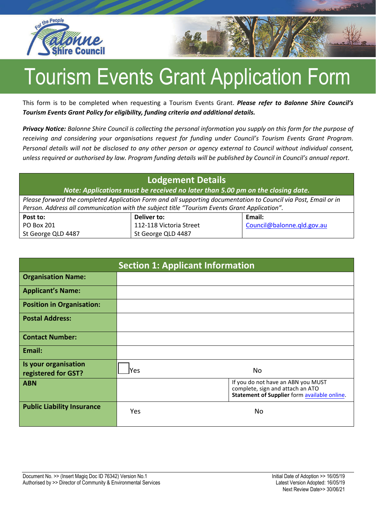

This form is to be completed when requesting a Tourism Events Grant. *Please refer to Balonne Shire Council's Tourism Events Grant Policy for eligibility, funding criteria and additional details.*

*Privacy Notice: Balonne Shire Council is collecting the personal information you supply on this form for the purpose of receiving and considering your organisations request for funding under Council's Tourism Events Grant Program. Personal details will not be disclosed to any other person or agency external to Council without individual consent, unless required or authorised by law. Program funding details will be published by Council in Council's annual report*.

#### **Lodgement Details**

*Note: Applications must be received no later than 5.00 pm on the closing date.*

*Please forward the completed Application Form and all supporting documentation to Council via Post, Email or in Person. Address all communication with the subject title "Tourism Events Grant Application".*

| Post to:           | Deliver to:             | Email:                     |
|--------------------|-------------------------|----------------------------|
| <b>PO Box 201</b>  | 112-118 Victoria Street | Council@balonne.gld.gov.au |
| St George QLD 4487 | St George QLD 4487      |                            |

| <b>Section 1: Applicant Information</b>     |      |                                                                                                                        |
|---------------------------------------------|------|------------------------------------------------------------------------------------------------------------------------|
| <b>Organisation Name:</b>                   |      |                                                                                                                        |
| <b>Applicant's Name:</b>                    |      |                                                                                                                        |
| <b>Position in Organisation:</b>            |      |                                                                                                                        |
| <b>Postal Address:</b>                      |      |                                                                                                                        |
| <b>Contact Number:</b>                      |      |                                                                                                                        |
| Email:                                      |      |                                                                                                                        |
| Is your organisation<br>registered for GST? | lYes | N <sub>o</sub>                                                                                                         |
| <b>ABN</b>                                  |      | If you do not have an ABN you MUST<br>complete, sign and attach an ATO<br>Statement of Supplier form available online. |
| <b>Public Liability Insurance</b>           | Yes  | No.                                                                                                                    |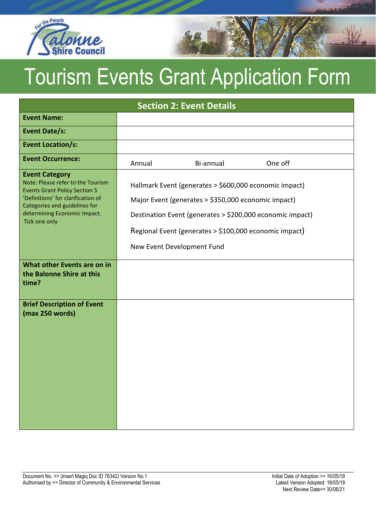

#### **Section 2: Event Details Event Name: Event Date/s: Event Location/s: Event Occurrence:** The Annual Annual Bi-annual One off **Event Category** Note: Please refer to the Tourism Events Grant Policy Section 5 'Definitions' for clarification of Categories and guidelines for determining Economic Impact. Hallmark Event (generates > \$600,000 economic impact) Major Event (generates > \$350,000 economic impact) Destination Event (generates > \$200,000 economic impact) Regional Event (generates > \$100,000 economic impact) New Event Development Fund **What other Events are on in the Balonne Shire at this time? Brief Description of Event (max 250 words)** Tick one only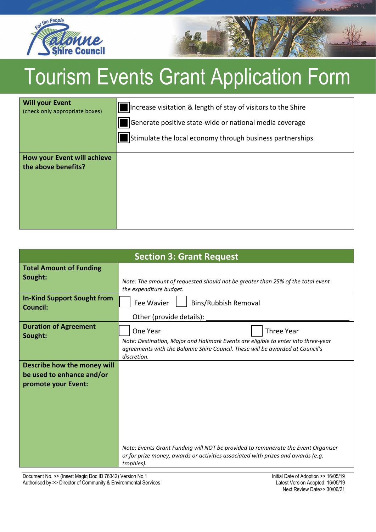

| <b>Will your Event</b><br>(check only appropriate boxes) | Increase visitation & length of stay of visitors to the Shire<br>Generate positive state-wide or national media coverage<br>Stimulate the local economy through business partnerships |
|----------------------------------------------------------|---------------------------------------------------------------------------------------------------------------------------------------------------------------------------------------|
| How your Event will achieve<br>the above benefits?       |                                                                                                                                                                                       |

| <b>Section 3: Grant Request</b>                                                 |                                                                                                                                                                                                              |
|---------------------------------------------------------------------------------|--------------------------------------------------------------------------------------------------------------------------------------------------------------------------------------------------------------|
| <b>Total Amount of Funding</b><br>Sought:                                       | Note: The amount of requested should not be greater than 25% of the total event<br>the expenditure budget.                                                                                                   |
| <b>In-Kind Support Sought from</b><br><b>Council:</b>                           | Bins/Rubbish Removal<br>Fee Wavier<br>Other (provide details):                                                                                                                                               |
| <b>Duration of Agreement</b><br>Sought:                                         | Three Year<br>One Year<br>Note: Destination, Major and Hallmark Events are eligible to enter into three-year<br>agreements with the Balonne Shire Council. These will be awarded at Council's<br>discretion. |
| Describe how the money will<br>be used to enhance and/or<br>promote your Event: | Note: Events Grant Funding will NOT be provided to remunerate the Event Organiser<br>or for prize money, awards or activities associated with prizes and awards (e.g.<br>trophies).                          |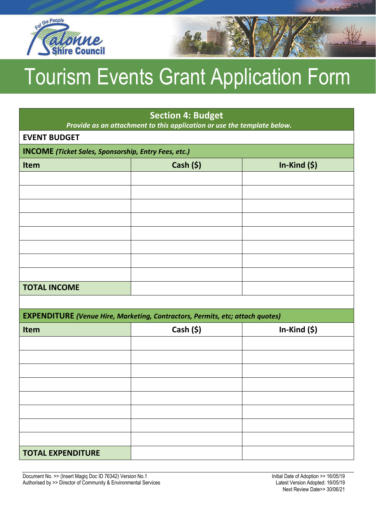

|                                                             | <b>Section 4: Budget</b><br>Provide as an attachment to this application or use the template below. |               |
|-------------------------------------------------------------|-----------------------------------------------------------------------------------------------------|---------------|
| <b>EVENT BUDGET</b>                                         |                                                                                                     |               |
| <b>INCOME</b> (Ticket Sales, Sponsorship, Entry Fees, etc.) |                                                                                                     |               |
| Item                                                        | Cash $(5)$                                                                                          | In-Kind $(5)$ |
|                                                             |                                                                                                     |               |
|                                                             |                                                                                                     |               |
|                                                             |                                                                                                     |               |
|                                                             |                                                                                                     |               |
|                                                             |                                                                                                     |               |
|                                                             |                                                                                                     |               |
|                                                             |                                                                                                     |               |
|                                                             |                                                                                                     |               |
| <b>TOTAL INCOME</b>                                         |                                                                                                     |               |
|                                                             |                                                                                                     |               |
|                                                             | <b>EXPENDITURE (Venue Hire, Marketing, Contractors, Permits, etc; attach quotes)</b>                |               |
| Item                                                        | Cash $(5)$                                                                                          | In-Kind $(5)$ |
|                                                             |                                                                                                     |               |
|                                                             |                                                                                                     |               |
|                                                             |                                                                                                     |               |

Document No. >> (Insert Magiq Doc ID 76342) Version No.1 Authorised by >> Director of Community & Environmental Services

**TOTAL EXPENDITURE**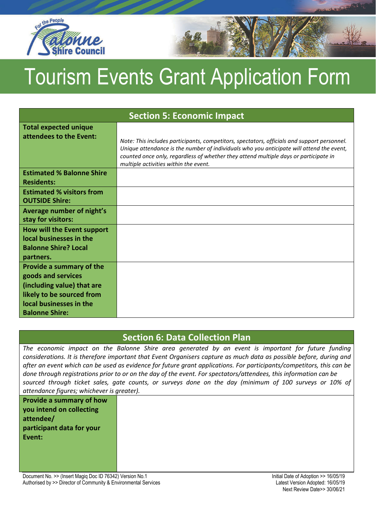

| <b>Section 5: Economic Impact</b>                                                    |                                                                                                                                                                                                                                                                                                                          |  |
|--------------------------------------------------------------------------------------|--------------------------------------------------------------------------------------------------------------------------------------------------------------------------------------------------------------------------------------------------------------------------------------------------------------------------|--|
| <b>Total expected unique</b><br>attendees to the Event:                              | Note: This includes participants, competitors, spectators, officials and support personnel.<br>Unique attendance is the number of individuals who you anticipate will attend the event,<br>counted once only, regardless of whether they attend multiple days or participate in<br>multiple activities within the event. |  |
| <b>Estimated % Balonne Shire</b><br><b>Residents:</b>                                |                                                                                                                                                                                                                                                                                                                          |  |
| <b>Estimated % visitors from</b><br><b>OUTSIDE Shire:</b>                            |                                                                                                                                                                                                                                                                                                                          |  |
| Average number of night's<br>stay for visitors:                                      |                                                                                                                                                                                                                                                                                                                          |  |
| How will the Event support<br>local businesses in the<br><b>Balonne Shire? Local</b> |                                                                                                                                                                                                                                                                                                                          |  |
| partners.                                                                            |                                                                                                                                                                                                                                                                                                                          |  |
| Provide a summary of the<br>goods and services                                       |                                                                                                                                                                                                                                                                                                                          |  |
| (including value) that are<br>likely to be sourced from                              |                                                                                                                                                                                                                                                                                                                          |  |
| local businesses in the<br><b>Balonne Shire:</b>                                     |                                                                                                                                                                                                                                                                                                                          |  |

#### **Section 6: Data Collection Plan**

*The economic impact on the Balonne Shire area generated by an event is important for future funding considerations. It is therefore important that Event Organisers capture as much data as possible before, during and after an event which can be used as evidence for future grant applications. For participants/competitors, this can be done through registrations prior to or on the day of the event. For spectators/attendees, this information can be sourced through ticket sales, gate counts, or surveys done on the day (minimum of 100 surveys or 10% of attendance figures; whichever is greater).*

**Provide a summary of how you intend on collecting attendee/ participant data for your Event:**

Document No. >> (Insert Magiq Doc ID 76342) Version No.1 Authorised by >> Director of Community & Environmental Services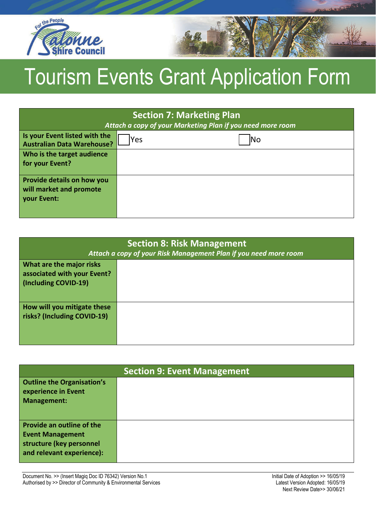

| <b>Section 7: Marketing Plan</b><br>Attach a copy of your Marketing Plan if you need more room |     |     |  |
|------------------------------------------------------------------------------------------------|-----|-----|--|
| Is your Event listed with the<br><b>Australian Data Warehouse?</b>                             | Yes | lNo |  |
| Who is the target audience<br>for your Event?                                                  |     |     |  |
| Provide details on how you<br>will market and promote<br>your Event:                           |     |     |  |

| <b>Section 8: Risk Management</b><br>Attach a copy of your Risk Management Plan if you need more room |  |
|-------------------------------------------------------------------------------------------------------|--|
| What are the major risks<br>associated with your Event?<br>(Including COVID-19)                       |  |
| How will you mitigate these<br>risks? (Including COVID-19)                                            |  |

| <b>Section 9: Event Management</b>                                                                                   |  |
|----------------------------------------------------------------------------------------------------------------------|--|
| <b>Outline the Organisation's</b><br>experience in Event<br>Management:                                              |  |
| <b>Provide an outline of the</b><br><b>Event Management</b><br>structure (key personnel<br>and relevant experience): |  |

Document No. >> (Insert Magiq Doc ID 76342) Version No.1 Authorised by >> Director of Community & Environmental Services